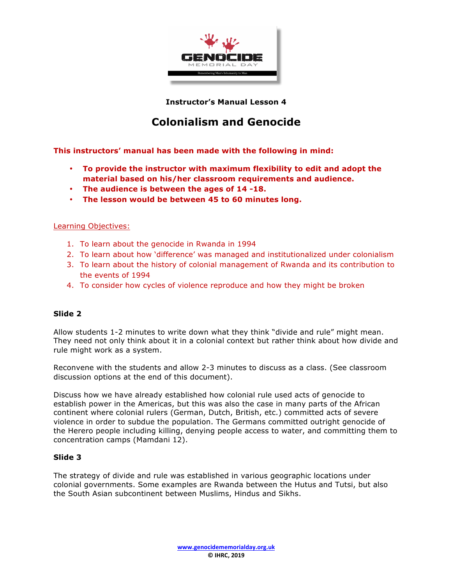

**Instructor's Manual Lesson 4**

# **Colonialism and Genocide**

**This instructors' manual has been made with the following in mind:**

- **To provide the instructor with maximum flexibility to edit and adopt the material based on his/her classroom requirements and audience.**
- **The audience is between the ages of 14 -18.**
- **The lesson would be between 45 to 60 minutes long.**

#### Learning Objectives:

- 1. To learn about the genocide in Rwanda in 1994
- 2. To learn about how 'difference' was managed and institutionalized under colonialism
- 3. To learn about the history of colonial management of Rwanda and its contribution to the events of 1994
- 4. To consider how cycles of violence reproduce and how they might be broken

#### **Slide 2**

Allow students 1-2 minutes to write down what they think "divide and rule" might mean. They need not only think about it in a colonial context but rather think about how divide and rule might work as a system.

Reconvene with the students and allow 2-3 minutes to discuss as a class. (See classroom discussion options at the end of this document).

Discuss how we have already established how colonial rule used acts of genocide to establish power in the Americas, but this was also the case in many parts of the African continent where colonial rulers (German, Dutch, British, etc.) committed acts of severe violence in order to subdue the population. The Germans committed outright genocide of the Herero people including killing, denying people access to water, and committing them to concentration camps (Mamdani 12).

#### **Slide 3**

The strategy of divide and rule was established in various geographic locations under colonial governments. Some examples are Rwanda between the Hutus and Tutsi, but also the South Asian subcontinent between Muslims, Hindus and Sikhs.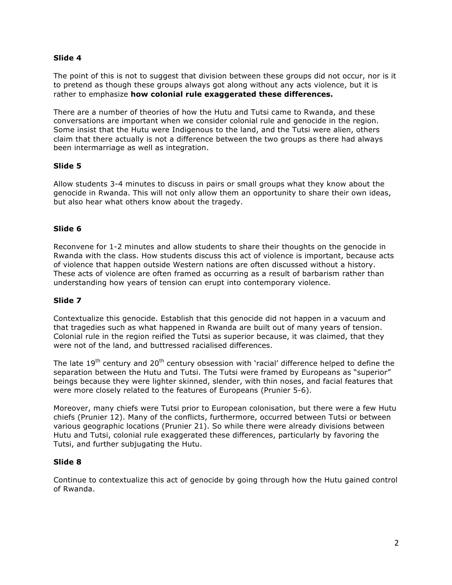## **Slide 4**

The point of this is not to suggest that division between these groups did not occur, nor is it to pretend as though these groups always got along without any acts violence, but it is rather to emphasize **how colonial rule exaggerated these differences.**

There are a number of theories of how the Hutu and Tutsi came to Rwanda, and these conversations are important when we consider colonial rule and genocide in the region. Some insist that the Hutu were Indigenous to the land, and the Tutsi were alien, others claim that there actually is not a difference between the two groups as there had always been intermarriage as well as integration.

## **Slide 5**

Allow students 3-4 minutes to discuss in pairs or small groups what they know about the genocide in Rwanda. This will not only allow them an opportunity to share their own ideas, but also hear what others know about the tragedy.

#### **Slide 6**

Reconvene for 1-2 minutes and allow students to share their thoughts on the genocide in Rwanda with the class. How students discuss this act of violence is important, because acts of violence that happen outside Western nations are often discussed without a history. These acts of violence are often framed as occurring as a result of barbarism rather than understanding how years of tension can erupt into contemporary violence.

#### **Slide 7**

Contextualize this genocide. Establish that this genocide did not happen in a vacuum and that tragedies such as what happened in Rwanda are built out of many years of tension. Colonial rule in the region reified the Tutsi as superior because, it was claimed, that they were not of the land, and buttressed racialised differences.

The late  $19<sup>th</sup>$  century and  $20<sup>th</sup>$  century obsession with 'racial' difference helped to define the separation between the Hutu and Tutsi. The Tutsi were framed by Europeans as "superior" beings because they were lighter skinned, slender, with thin noses, and facial features that were more closely related to the features of Europeans (Prunier 5-6).

Moreover, many chiefs were Tutsi prior to European colonisation, but there were a few Hutu chiefs (Prunier 12). Many of the conflicts, furthermore, occurred between Tutsi or between various geographic locations (Prunier 21). So while there were already divisions between Hutu and Tutsi, colonial rule exaggerated these differences, particularly by favoring the Tutsi, and further subjugating the Hutu.

#### **Slide 8**

Continue to contextualize this act of genocide by going through how the Hutu gained control of Rwanda.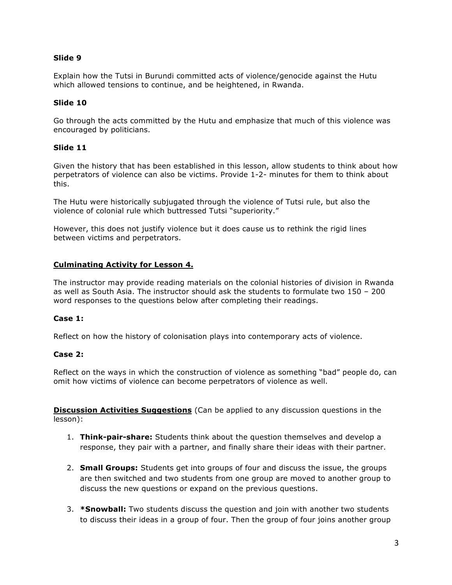## **Slide 9**

Explain how the Tutsi in Burundi committed acts of violence/genocide against the Hutu which allowed tensions to continue, and be heightened, in Rwanda.

### **Slide 10**

Go through the acts committed by the Hutu and emphasize that much of this violence was encouraged by politicians.

## **Slide 11**

Given the history that has been established in this lesson, allow students to think about how perpetrators of violence can also be victims. Provide 1-2- minutes for them to think about this.

The Hutu were historically subjugated through the violence of Tutsi rule, but also the violence of colonial rule which buttressed Tutsi "superiority."

However, this does not justify violence but it does cause us to rethink the rigid lines between victims and perpetrators.

## **Culminating Activity for Lesson 4.**

The instructor may provide reading materials on the colonial histories of division in Rwanda as well as South Asia. The instructor should ask the students to formulate two 150 – 200 word responses to the questions below after completing their readings.

#### **Case 1:**

Reflect on how the history of colonisation plays into contemporary acts of violence.

#### **Case 2:**

Reflect on the ways in which the construction of violence as something "bad" people do, can omit how victims of violence can become perpetrators of violence as well.

**Discussion Activities Suggestions** (Can be applied to any discussion questions in the lesson):

- 1. **Think-pair-share:** Students think about the question themselves and develop a response, they pair with a partner, and finally share their ideas with their partner.
- 2. **Small Groups:** Students get into groups of four and discuss the issue, the groups are then switched and two students from one group are moved to another group to discuss the new questions or expand on the previous questions.
- 3. **\*Snowball:** Two students discuss the question and join with another two students to discuss their ideas in a group of four. Then the group of four joins another group